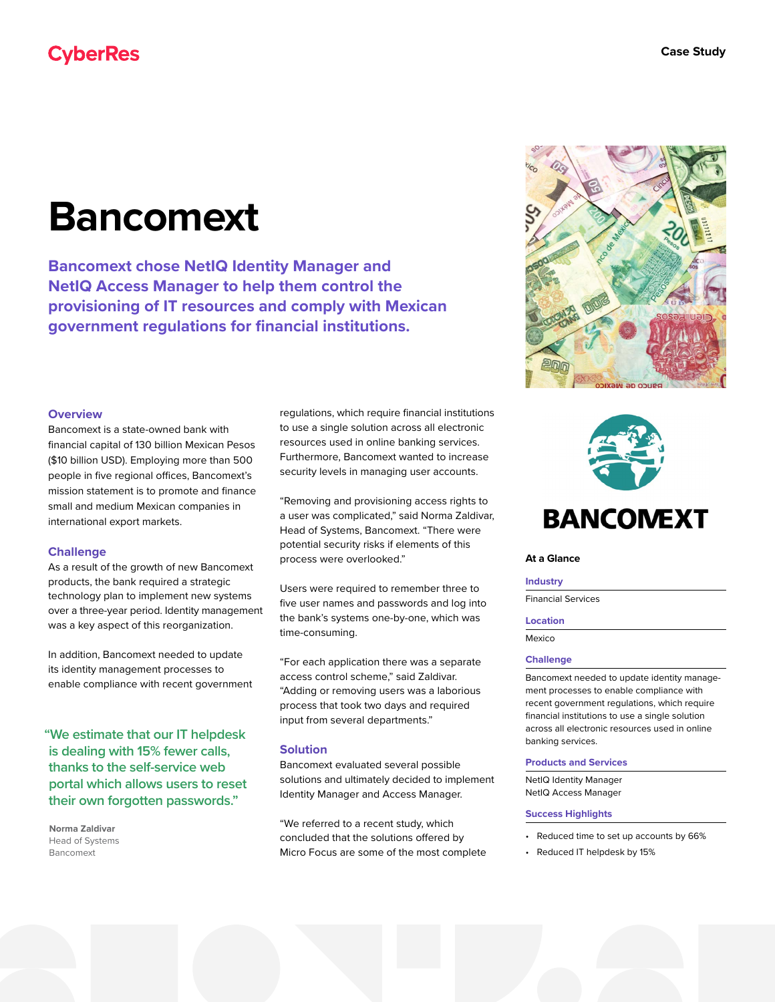# **Bancomext**

**Bancomext chose NetIQ Identity Manager and NetIQ Access Manager to help them control the provisioning of IT resources and comply with Mexican government regulations for financial institutions.**

## **Overview**

Bancomext is a state-owned bank with financial capital of 130 billion Mexican Pesos (\$10 billion USD). Employing more than 500 people in five regional offices, Bancomext's mission statement is to promote and finance small and medium Mexican companies in international export markets.

## **Challenge**

As a result of the growth of new Bancomext products, the bank required a strategic technology plan to implement new systems over a three-year period. Identity management was a key aspect of this reorganization.

In addition, Bancomext needed to update its identity management processes to enable compliance with recent government

**"We estimate that our IT helpdesk is dealing with 15% fewer calls, thanks to the self-service web portal which allows users to reset their own forgotten passwords."**

**Norma Zaldivar** Head of Systems Bancomext

regulations, which require financial institutions to use a single solution across all electronic resources used in online banking services. Furthermore, Bancomext wanted to increase security levels in managing user accounts.

"Removing and provisioning access rights to a user was complicated," said Norma Zaldivar, Head of Systems, Bancomext. "There were potential security risks if elements of this process were overlooked."

Users were required to remember three to five user names and passwords and log into the bank's systems one-by-one, which was time-consuming.

"For each application there was a separate access control scheme," said Zaldivar. "Adding or removing users was a laborious process that took two days and required input from several departments."

## **Solution**

Bancomext evaluated several possible solutions and ultimately decided to implement Identity Manager and Access Manager.

"We referred to a recent study, which concluded that the solutions offered by Micro Focus are some of the most complete





#### **At a Glance**

# **Industry**

Financial Services

#### **Location**

Mexico

## **Challenge**

Bancomext needed to update identity management processes to enable compliance with recent government regulations, which require financial institutions to use a single solution across all electronic resources used in online banking services.

#### **Products and Services**

NetIQ Identity Manager NetIQ Access Manager

## **Success Highlights**

- Reduced time to set up accounts by 66%
- Reduced IT helpdesk by 15%